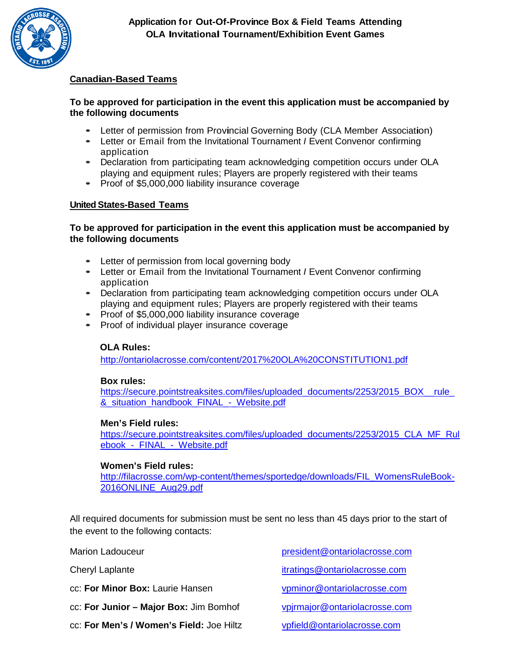

## **Canadian-Based Teams**

## **To be approved for participation in the event this application must be accompanied by the following documents**

- Letter of permission from Provincial Governing Body (CLA Member Association)
- Letter or Email from the Invitational Tournament *<sup>I</sup>* Event Convenor confirming application
- Declaration from participating team acknowledging competition occurs under OLA playing and equipment rules; Players are properly registered with their teams
- Proof of \$5,000,000 liability insurance coverage

## **United States-Based Teams**

## **To be approved for participation in the event this application must be accompanied by the following documents**

- Letter of permission from local governing body
- Letter or Email from the Invitational Tournament *<sup>I</sup>* Event Convenor confirming application
- Declaration from participating team acknowledging competition occurs under OLA playing and equipment rules; Players are properly registered with their teams
- Proof of \$5,000,000 liability insurance coverage
- Proof of individual player insurance coverage

#### **OLA Rules:**

<http://ontariolacrosse.com/content/2017%20OLA%20CONSTITUTION1.pdf>

#### **Box rules:**

[https://secure.pointstreaksites.com/files/uploaded\\_documents/2253/2015\\_BOX\\_\\_rule\\_](https://secure.pointstreaksites.com/files/uploaded_documents/2253/2015_BOX__rule_&_situation_handbook_FINAL_-_Website.pdf) & situation handbook FINAL - Website.pdf

#### **Men's Field rules:**

[https://secure.pointstreaksites.com/files/uploaded\\_documents/2253/2015\\_CLA\\_MF\\_Rul](https://secure.pointstreaksites.com/files/uploaded_documents/2253/2015_CLA_MF_Rulebook_-_FINAL_-_Website.pdf) ebook - FINAL - Website.pdf

#### **Women's Field rules:**

[http://filacrosse.com/wp-content/themes/sportedge/downloads/FIL\\_WomensRuleBook-](http://filacrosse.com/wp-content/themes/sportedge/downloads/FIL_WomensRuleBook-2016ONLINE_Aug29.pdf)[2016ONLINE\\_Aug29.pdf](http://filacrosse.com/wp-content/themes/sportedge/downloads/FIL_WomensRuleBook-2016ONLINE_Aug29.pdf)

All required documents for submission must be sent no less than 45 days prior to the start of the event to the following contacts:

Marion Ladouceur [president@ontariolacrosse.com](mailto:president@ontariolacrosse.com) Cheryl Laplante itratings@ontariolacrosse.com cc: **For Minor Box:** Laurie Hansen [vpminor@ontariolacrosse.com](mailto:vpminor@ontariolacrosse.com) cc: **For Junior – Major Box:** Jim Bomhof [vpjrmajor@ontariolacrosse.com](mailto:vpjrmajor@ontariolacrosse.com)

- cc: **For Men's / Women's Field:** Joe Hiltz [vpfield@ontariolacrosse.com](mailto:vpfield@ontariolacrosse.com)
-